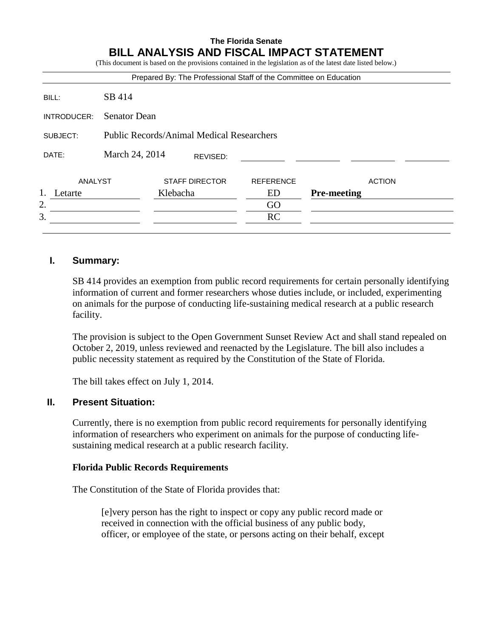#### **The Florida Senate BILL ANALYSIS AND FISCAL IMPACT STATEMENT** (This document is based on the provisions contained in the legislation as of the latest date listed below.)

|             |                     |          |                                                  | Prepared By: The Professional Staff of the Committee on Education |                    |
|-------------|---------------------|----------|--------------------------------------------------|-------------------------------------------------------------------|--------------------|
| BILL:       | SB 414              |          |                                                  |                                                                   |                    |
| INTRODUCER: | <b>Senator Dean</b> |          |                                                  |                                                                   |                    |
| SUBJECT:    |                     |          | <b>Public Records/Animal Medical Researchers</b> |                                                                   |                    |
| DATE:       | March 24, 2014      |          | REVISED:                                         |                                                                   |                    |
| ANALYST     |                     |          | <b>STAFF DIRECTOR</b>                            | <b>REFERENCE</b>                                                  | <b>ACTION</b>      |
| Letarte     |                     | Klebacha |                                                  | ED                                                                | <b>Pre-meeting</b> |
| 2.          |                     |          |                                                  | GO                                                                |                    |
| 3.          |                     |          |                                                  | RC                                                                |                    |

## **I. Summary:**

SB 414 provides an exemption from public record requirements for certain personally identifying information of current and former researchers whose duties include, or included, experimenting on animals for the purpose of conducting life-sustaining medical research at a public research facility.

The provision is subject to the Open Government Sunset Review Act and shall stand repealed on October 2, 2019, unless reviewed and reenacted by the Legislature. The bill also includes a public necessity statement as required by the Constitution of the State of Florida.

The bill takes effect on July 1, 2014.

## **II. Present Situation:**

Currently, there is no exemption from public record requirements for personally identifying information of researchers who experiment on animals for the purpose of conducting lifesustaining medical research at a public research facility.

## **Florida Public Records Requirements**

The Constitution of the State of Florida provides that:

[e]very person has the right to inspect or copy any public record made or received in connection with the official business of any public body, officer, or employee of the state, or persons acting on their behalf, except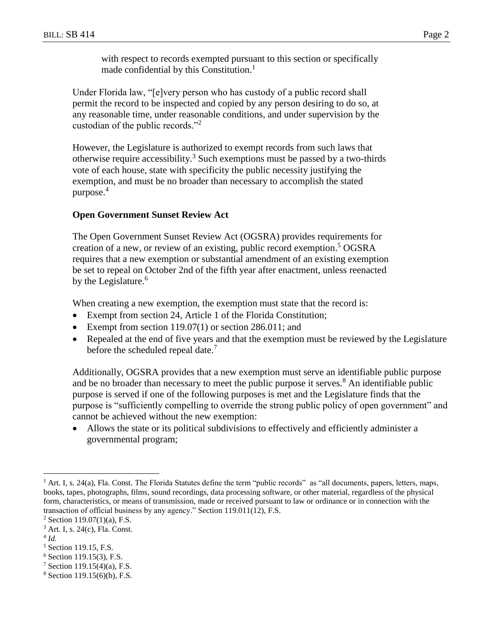with respect to records exempted pursuant to this section or specifically made confidential by this Constitution.<sup>1</sup>

Under Florida law, "[e]very person who has custody of a public record shall permit the record to be inspected and copied by any person desiring to do so, at any reasonable time, under reasonable conditions, and under supervision by the custodian of the public records."<sup>2</sup>

However, the Legislature is authorized to exempt records from such laws that otherwise require accessibility.<sup>3</sup> Such exemptions must be passed by a two-thirds vote of each house, state with specificity the public necessity justifying the exemption, and must be no broader than necessary to accomplish the stated purpose.<sup>4</sup>

## **Open Government Sunset Review Act**

The Open Government Sunset Review Act (OGSRA) provides requirements for creation of a new, or review of an existing, public record exemption. <sup>5</sup> OGSRA requires that a new exemption or substantial amendment of an existing exemption be set to repeal on October 2nd of the fifth year after enactment, unless reenacted by the Legislature.<sup>6</sup>

When creating a new exemption, the exemption must state that the record is:

- Exempt from section 24, Article 1 of the Florida Constitution;
- Exempt from section 119.07(1) or section 286.011; and
- Repealed at the end of five years and that the exemption must be reviewed by the Legislature before the scheduled repeal date.<sup>7</sup>

Additionally, OGSRA provides that a new exemption must serve an identifiable public purpose and be no broader than necessary to meet the public purpose it serves. $8$  An identifiable public purpose is served if one of the following purposes is met and the Legislature finds that the purpose is "sufficiently compelling to override the strong public policy of open government" and cannot be achieved without the new exemption:

 Allows the state or its political subdivisions to effectively and efficiently administer a governmental program;

4 *Id.*

 $\overline{a}$ 

<sup>&</sup>lt;sup>1</sup> Art. I, s. 24(a), Fla. Const. The Florida Statutes define the term "public records" as "all documents, papers, letters, maps, books, tapes, photographs, films, sound recordings, data processing software, or other material, regardless of the physical form, characteristics, or means of transmission, made or received pursuant to law or ordinance or in connection with the transaction of official business by any agency." Section 119.011(12), F.S.

 $2$  Section 119.07(1)(a), F.S.

<sup>3</sup> Art. I, s. 24(c), Fla. Const.

<sup>5</sup> Section 119.15, F.S.

 $6$  Section 119.15(3), F.S.

<sup>7</sup> Section 119.15(4)(a), F.S.

 $8$  Section 119.15(6)(b), F.S.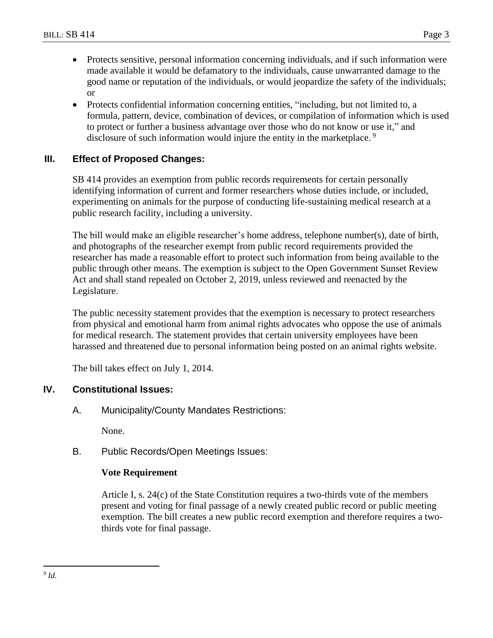- 
- Protects sensitive, personal information concerning individuals, and if such information were made available it would be defamatory to the individuals, cause unwarranted damage to the good name or reputation of the individuals, or would jeopardize the safety of the individuals; or
- Protects confidential information concerning entities, "including, but not limited to, a formula, pattern, device, combination of devices, or compilation of information which is used to protect or further a business advantage over those who do not know or use it," and disclosure of such information would injure the entity in the marketplace.<sup>9</sup>

# **III. Effect of Proposed Changes:**

SB 414 provides an exemption from public records requirements for certain personally identifying information of current and former researchers whose duties include, or included, experimenting on animals for the purpose of conducting life-sustaining medical research at a public research facility, including a university.

The bill would make an eligible researcher's home address, telephone number(s), date of birth, and photographs of the researcher exempt from public record requirements provided the researcher has made a reasonable effort to protect such information from being available to the public through other means. The exemption is subject to the Open Government Sunset Review Act and shall stand repealed on October 2, 2019, unless reviewed and reenacted by the Legislature.

The public necessity statement provides that the exemption is necessary to protect researchers from physical and emotional harm from animal rights advocates who oppose the use of animals for medical research. The statement provides that certain university employees have been harassed and threatened due to personal information being posted on an animal rights website.

The bill takes effect on July 1, 2014.

# **IV. Constitutional Issues:**

A. Municipality/County Mandates Restrictions:

None.

B. Public Records/Open Meetings Issues:

# **Vote Requirement**

Article I, s. 24(c) of the State Constitution requires a two-thirds vote of the members present and voting for final passage of a newly created public record or public meeting exemption. The bill creates a new public record exemption and therefore requires a twothirds vote for final passage.